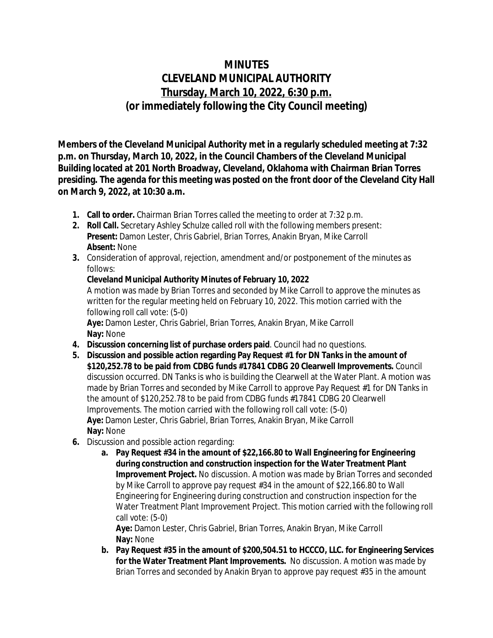## **MINUTES CLEVELAND MUNICIPAL AUTHORITY Thursday, March 10, 2022, 6:30 p.m. (or immediately following the City Council meeting)**

**Members of the Cleveland Municipal Authority met in a regularly scheduled meeting at 7:32 p.m. on Thursday, March 10, 2022, in the Council Chambers of the Cleveland Municipal Building located at 201 North Broadway, Cleveland, Oklahoma with Chairman Brian Torres presiding. The agenda for this meeting was posted on the front door of the Cleveland City Hall on March 9, 2022, at 10:30 a.m.**

- **1. Call to order.** Chairman Brian Torres called the meeting to order at 7:32 p.m.
- **2. Roll Call.** Secretary Ashley Schulze called roll with the following members present: **Present:** Damon Lester, Chris Gabriel, Brian Torres, Anakin Bryan, Mike Carroll **Absent:** None
- **3.** Consideration of approval, rejection, amendment and/or postponement of the minutes as follows:

## **Cleveland Municipal Authority Minutes of February 10, 2022**

A motion was made by Brian Torres and seconded by Mike Carroll to approve the minutes as written for the regular meeting held on February 10, 2022. This motion carried with the following roll call vote: (5-0)

**Aye:** Damon Lester, Chris Gabriel, Brian Torres, Anakin Bryan, Mike Carroll **Nay:** None

- **4. Discussion concerning list of purchase orders paid**. Council had no questions.
- **5. Discussion and possible action regarding Pay Request #1 for DN Tanks in the amount of \$120,252.78 to be paid from CDBG funds #17841 CDBG 20 Clearwell Improvements.** Council discussion occurred. DN Tanks is who is building the Clearwell at the Water Plant. A motion was made by Brian Torres and seconded by Mike Carroll to approve Pay Request #1 for DN Tanks in the amount of \$120,252.78 to be paid from CDBG funds #17841 CDBG 20 Clearwell Improvements. The motion carried with the following roll call vote: (5-0) **Aye:** Damon Lester, Chris Gabriel, Brian Torres, Anakin Bryan, Mike Carroll **Nay:** None
- **6.** Discussion and possible action regarding:
	- **a. Pay Request #34 in the amount of \$22,166.80 to Wall Engineering for Engineering during construction and construction inspection for the Water Treatment Plant Improvement Project.** No discussion. A motion was made by Brian Torres and seconded by Mike Carroll to approve pay request #34 in the amount of \$22,166.80 to Wall Engineering for Engineering during construction and construction inspection for the Water Treatment Plant Improvement Project. This motion carried with the following roll call vote: (5-0)

**Aye:** Damon Lester, Chris Gabriel, Brian Torres, Anakin Bryan, Mike Carroll **Nay:** None

**b. Pay Request #35 in the amount of \$200,504.51 to HCCCO, LLC. for Engineering Services for the Water Treatment Plant Improvements.** No discussion. A motion was made by Brian Torres and seconded by Anakin Bryan to approve pay request #35 in the amount